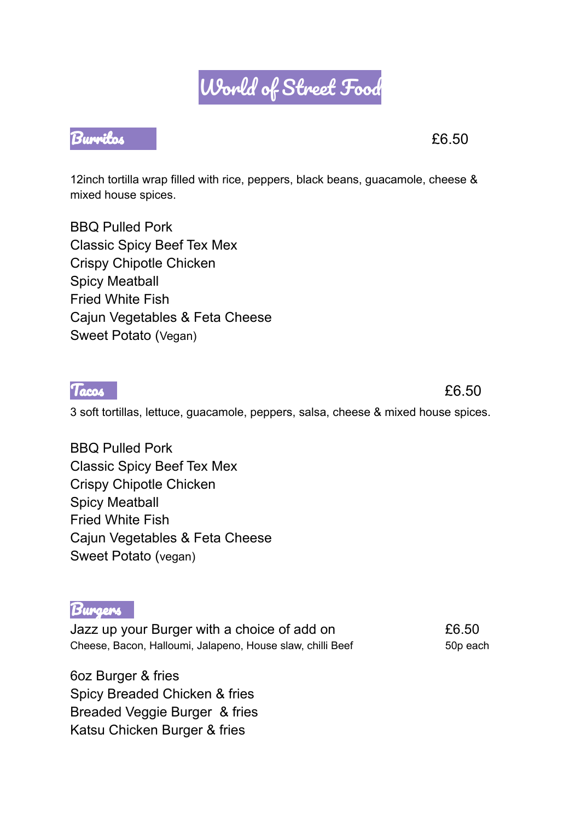## World of Street Food

## Burritos £6.50

12inch tortilla wrap filled with rice, peppers, black beans, guacamole, cheese & mixed house spices.

BBQ Pulled Pork Classic Spicy Beef Tex Mex Crispy Chipotle Chicken Spicy Meatball Fried White Fish Cajun Vegetables & Feta Cheese Sweet Potato (Vegan)

3 soft tortillas, lettuce, guacamole, peppers, salsa, cheese & mixed house spices.

BBQ Pulled Pork Classic Spicy Beef Tex Mex Crispy Chipotle Chicken Spicy Meatball Fried White Fish Cajun Vegetables & Feta Cheese Sweet Potato (vegan)

**Burgers** 

Jazz up your Burger with a choice of add on £6.50 Cheese, Bacon, Halloumi, Jalapeno, House slaw, chilli Beef 50p each

6oz Burger & fries Spicy Breaded Chicken & fries Breaded Veggie Burger & fries Katsu Chicken Burger & fries



Tacos **Executive Contract Contract Contract Contract Contract Contract Contract Contract Contract Contract Contract Contract Contract Contract Contract Contract Contract Contract Contract Contract Contract Contract Contrac**